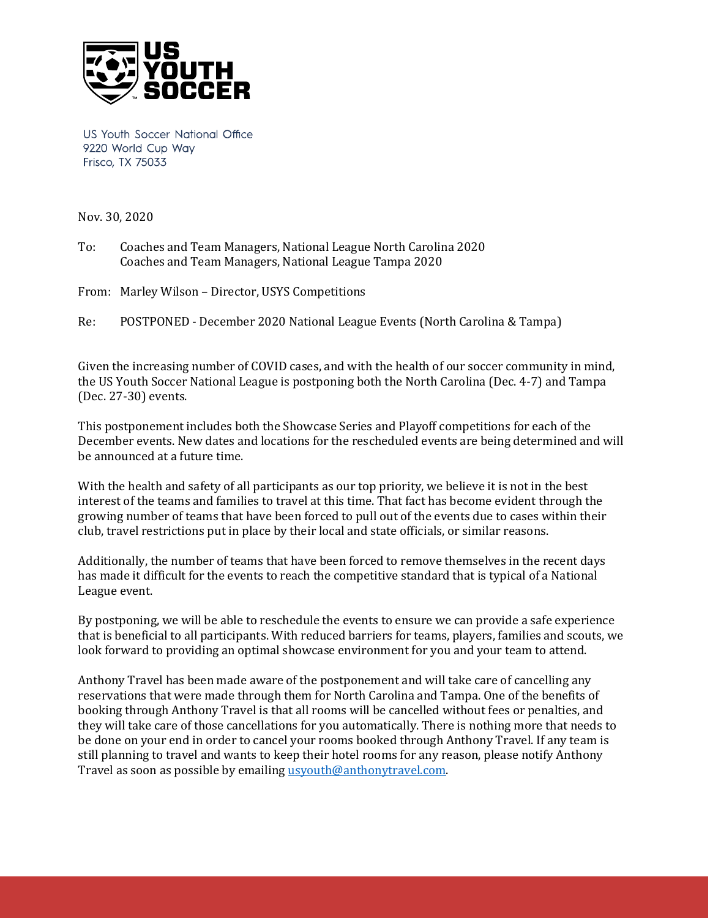

US Youth Soccer National Office 9220 World Cup Way Frisco, TX 75033

Nov. 30, 2020

To: Coaches and Team Managers, National League North Carolina 2020 Coaches and Team Managers, National League Tampa 2020

From: Marley Wilson – Director, USYS Competitions

Re: POSTPONED - December 2020 National League Events (North Carolina & Tampa)

Given the increasing number of COVID cases, and with the health of our soccer community in mind, the US Youth Soccer National League is postponing both the North Carolina (Dec. 4-7) and Tampa (Dec. 27-30) events.

This postponement includes both the Showcase Series and Playoff competitions for each of the December events. New dates and locations for the rescheduled events are being determined and will be announced at a future time.

With the health and safety of all participants as our top priority, we believe it is not in the best interest of the teams and families to travel at this time. That fact has become evident through the growing number of teams that have been forced to pull out of the events due to cases within their club, travel restrictions put in place by their local and state officials, or similar reasons.

Additionally, the number of teams that have been forced to remove themselves in the recent days has made it difficult for the events to reach the competitive standard that is typical of a National League event.

By postponing, we will be able to reschedule the events to ensure we can provide a safe experience that is beneficial to all participants. With reduced barriers for teams, players, families and scouts, we look forward to providing an optimal showcase environment for you and your team to attend.

Anthony Travel has been made aware of the postponement and will take care of cancelling any reservations that were made through them for North Carolina and Tampa. One of the benefits of booking through Anthony Travel is that all rooms will be cancelled without fees or penalties, and they will take care of those cancellations for you automatically. There is nothing more that needs to be done on your end in order to cancel your rooms booked through Anthony Travel. If any team is still planning to travel and wants to keep their hotel rooms for any reason, please notify Anthony Travel as soon as possible by emailin[g usyouth@anthonytravel.com.](mailto:usyouth@anthonytravel.com)